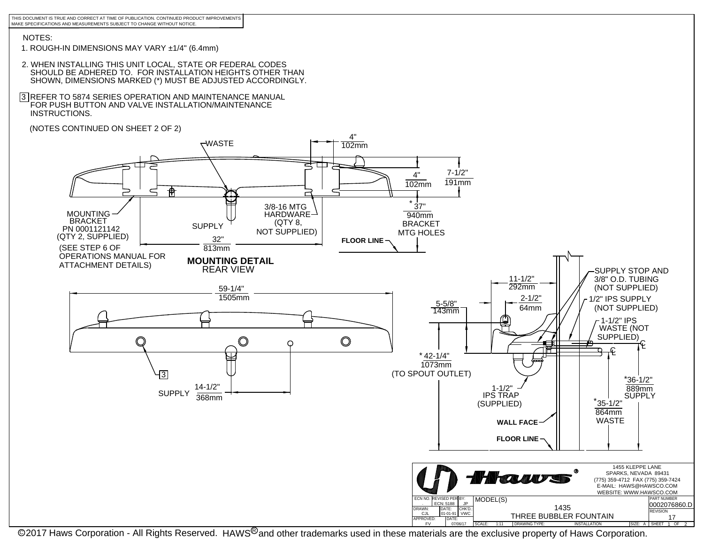THIS DOCUMENT IS TRUE AND CORRECT AT TIME OF PUBLICATION. CONTINUED PRODUCT IMPROVEMENTSMAKE SPECIFICATIONS AND MEASUREMENTS SUBJECT TO CHANGE WITHOUT NOTICE.

## NOTES:

- 1. ROUGH-IN DIMENSIONS MAY VARY ±1/4" (6.4mm)
- 2. WHEN INSTALLING THIS UNIT LOCAL, STATE OR FEDERAL CODES SHOULD BE ADHERED TO. FOR INSTALLATION HEIGHTS OTHER THANSHOWN, DIMENSIONS MARKED (\*) MUST BE ADJUSTED ACCORDINGLY.
- 3 |REFER TO 5874 SERIES OPERATION AND MAINTENANCE MANUAL<br> ̄FOR PUSH BUTTON AND VALVE INSTALLATION/MAINTENANCE INSTRUCTIONS.
- (NOTES CONTINUED ON SHEET 2 OF 2)



@2017 Haws Corporation - All Rights Reserved. HAWS<sup>®</sup>and other trademarks used in these materials are the exclusive property of Haws Corporation.